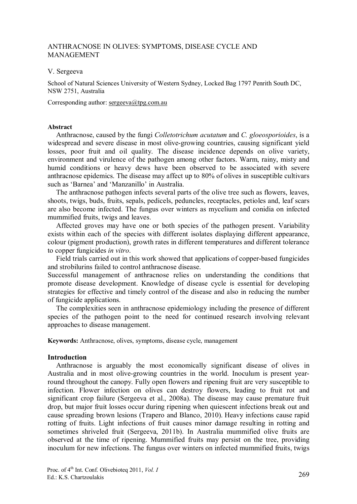# ANTHRACNOSE IN OLIVES: SYMPTOMS, DISEASE CYCLE AND MANAGEMENT

#### V. Sergeeva

School of Natural Sciences University of Western Sydney, Locked Bag 1797 Penrith South DC, NSW 2751, Australia

### Corresponding author: sergeeva@tpg.com.au

#### **Abstract**

Anthracnose, caused by the fungi *Colletotrichum acutatum* and *C. gloeosporioides*, is a widespread and severe disease in most olive-growing countries, causing significant yield losses, poor fruit and oil quality. The disease incidence depends on olive variety, environment and virulence of the pathogen among other factors. Warm, rainy, misty and humid conditions or heavy dews have been observed to be associated with severe anthracnose epidemics. The disease may affect up to 80% of olives in susceptible cultivars such as 'Barnea' and 'Manzanillo' in Australia.

The anthracnose pathogen infects several parts of the olive tree such as flowers, leaves, shoots, twigs, buds, fruits, sepals, pedicels, peduncles, receptacles, petioles and, leaf scars are also become infected. The fungus over winters as mycelium and conidia on infected mummified fruits, twigs and leaves.

Affected groves may have one or both species of the pathogen present. Variability exists within each of the species with different isolates displaying different appearance, colour (pigment production), growth rates in different temperatures and different tolerance to copper fungicides *in vitro*.

Field trials carried out in this work showed that applications of copper-based fungicides and strobilurins failed to control anthracnose disease.

Successful management of anthracnose relies on understanding the conditions that promote disease development. Knowledge of disease cycle is essential for developing strategies for effective and timely control of the disease and also in reducing the number of fungicide applications.

The complexities seen in anthracnose epidemiology including the presence of different species of the pathogen point to the need for continued research involving relevant approaches to disease management.

**Keywords:** Anthracnose, olives, symptoms, disease cycle, management

### **Introduction**

Anthracnose is arguably the most economically significant disease of olives in Australia and in most olive-growing countries in the world. Inoculum is present yearround throughout the canopy. Fully open flowers and ripening fruit are very susceptible to infection. Flower infection on olives can destroy flowers, leading to fruit rot and significant crop failure (Sergeeva et al., 2008a). The disease may cause premature fruit drop, but major fruit losses occur during ripening when quiescent infections break out and cause spreading brown lesions (Trapero and Blanco, 2010). Heavy infections cause rapid rotting of fruits. Light infections of fruit causes minor damage resulting in rotting and sometimes shriveled fruit (Sergeeva, 2011b). In Australia mummified olive fruits are observed at the time of ripening. Mummified fruits may persist on the tree, providing inoculum for new infections. The fungus over winters on infected mummified fruits, twigs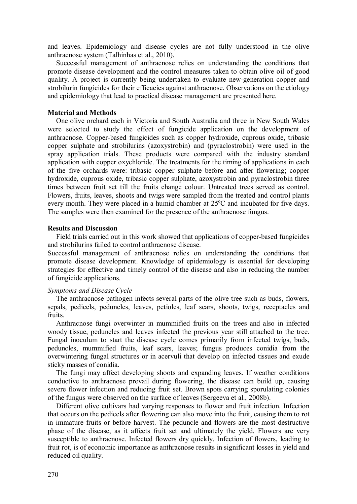and leaves. Epidemiology and disease cycles are not fully understood in the olive anthracnose system (Talhinhas et al., 2010).

Successful management of anthracnose relies on understanding the conditions that promote disease development and the control measures taken to obtain olive oil of good quality. A project is currently being undertaken to evaluate new-generation copper and strobilurin fungicides for their efficacies against anthracnose. Observations on the etiology and epidemiology that lead to practical disease management are presented here.

#### **Material and Methods**

One olive orchard each in Victoria and South Australia and three in New South Wales were selected to study the effect of fungicide application on the development of anthracnose. Copper-based fungicides such as copper hydroxide, cuprous oxide, tribasic copper sulphate and strobilurins (azoxystrobin) and (pyraclostrobin) were used in the spray application trials. These products were compared with the industry standard application with copper oxychloride. The treatments for the timing of applications in each of the five orchards were: tribasic copper sulphate before and after flowering; copper hydroxide, cuprous oxide, tribasic copper sulphate, azoxystrobin and pyraclostrobin three times between fruit set till the fruits change colour. Untreated trees served as control. Flowers, fruits, leaves, shoots and twigs were sampled from the treated and control plants every month. They were placed in a humid chamber at  $25^{\circ}$ C and incubated for five days. The samples were then examined for the presence of the anthracnose fungus.

#### **Results and Discussion**

Field trials carried out in this work showed that applications of copper-based fungicides and strobilurins failed to control anthracnose disease.

Successful management of anthracnose relies on understanding the conditions that promote disease development. Knowledge of epidemiology is essential for developing strategies for effective and timely control of the disease and also in reducing the number of fungicide applications.

#### *Symptoms and Disease Cycle*

The anthracnose pathogen infects several parts of the olive tree such as buds, flowers, sepals, pedicels, peduncles, leaves, petioles, leaf scars, shoots, twigs, receptacles and fruits.

Anthracnose fungi overwinter in mummified fruits on the trees and also in infected woody tissue, peduncles and leaves infected the previous year still attached to the tree. Fungal inoculum to start the disease cycle comes primarily from infected twigs, buds, peduncles, mummified fruits, leaf scars, leaves; fungus produces conidia from the overwintering fungal structures or in acervuli that develop on infected tissues and exude sticky masses of conidia.

The fungi may affect developing shoots and expanding leaves. If weather conditions conductive to anthracnose prevail during flowering, the disease can build up, causing severe flower infection and reducing fruit set. Brown spots carrying sporulating colonies of the fungus were observed on the surface of leaves (Sergeeva et al., 2008b).

Different olive cultivars had varying responses to flower and fruit infection. Infection that occurs on the pedicels after flowering can also move into the fruit, causing them to rot in immature fruits or before harvest. The peduncle and flowers are the most destructive phase of the disease, as it affects fruit set and ultimately the yield. Flowers are very susceptible to anthracnose. Infected flowers dry quickly. Infection of flowers, leading to fruit rot, is of economic importance as anthracnose results in significant losses in yield and reduced oil quality.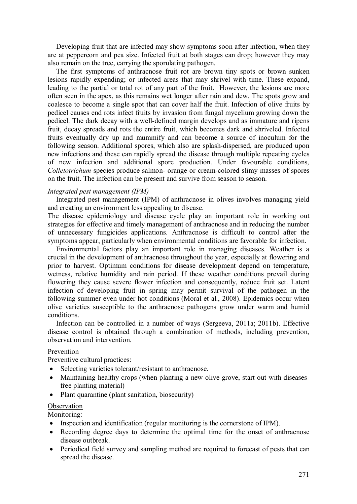Developing fruit that are infected may show symptoms soon after infection, when they are at peppercorn and pea size. Infected fruit at both stages can drop; however they may also remain on the tree, carrying the sporulating pathogen.

The first symptoms of anthracnose fruit rot are brown tiny spots or brown sunken lesions rapidly expending; or infected areas that may shrivel with time. These expand, leading to the partial or total rot of any part of the fruit. However, the lesions are more often seen in the apex, as this remains wet longer after rain and dew. The spots grow and coalesce to become a single spot that can cover half the fruit. Infection of olive fruits by pedicel causes end rots infect fruits by invasion from fungal mycelium growing down the pedicel. The dark decay with a well-defined margin develops and as immature and ripens fruit, decay spreads and rots the entire fruit, which becomes dark and shriveled. Infected fruits eventually dry up and mummify and can become a source of inoculum for the following season. Additional spores, which also are splash-dispersed, are produced upon new infections and these can rapidly spread the disease through multiple repeating cycles of new infection and additional spore production. Under favourable conditions, *Colletotrichum* species produce salmon- orange or cream-colored slimy masses of spores on the fruit. The infection can be present and survive from season to season.

### *Integrated pest management (IPM)*

Integrated pest management (IPM) of anthracnose in olives involves managing yield and creating an environment less appealing to disease.

The disease epidemiology and disease cycle play an important role in working out strategies for effective and timely management of anthracnose and in reducing the number of unnecessary fungicides applications. Anthracnose is difficult to control after the symptoms appear, particularly when environmental conditions are favorable for infection.

Environmental factors play an important role in managing diseases. Weather is a crucial in the development of anthracnose throughout the year, especially at flowering and prior to harvest. Optimum conditions for disease development depend on temperature, wetness, relative humidity and rain period. If these weather conditions prevail during flowering they cause severe flower infection and consequently, reduce fruit set. Latent infection of developing fruit in spring may permit survival of the pathogen in the following summer even under hot conditions (Moral et al., 2008). Epidemics occur when olive varieties susceptible to the anthracnose pathogens grow under warm and humid conditions.

Infection can be controlled in a number of ways (Sergeeva, 2011a; 2011b). Effective disease control is obtained through a combination of methods, including prevention, observation and intervention.

### Prevention

Preventive cultural practices:

- Selecting varieties tolerant/resistant to anthracnose.
- Maintaining healthy crops (when planting a new olive grove, start out with diseasesfree planting material)
- Plant quarantine (plant sanitation, biosecurity)

### **Observation**

Monitoring:

- Inspection and identification (regular monitoring is the cornerstone of IPM).
- · Recording degree days to determine the optimal time for the onset of anthracnose disease outbreak.
- Periodical field survey and sampling method are required to forecast of pests that can spread the disease.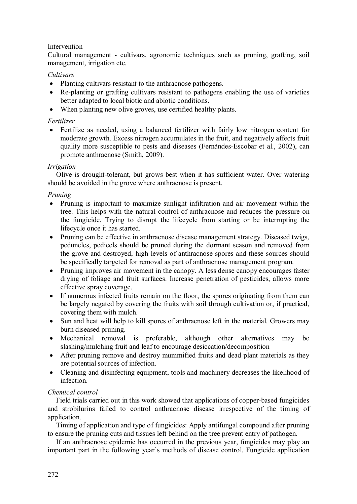# Intervention

Cultural management - cultivars, agronomic techniques such as pruning, grafting, soil management, irrigation etc.

# *Cultivars*

- Planting cultivars resistant to the anthracnose pathogens.
- Re-planting or grafting cultivars resistant to pathogens enabling the use of varieties better adapted to local biotic and abiotic conditions.
- · When planting new olive groves, use certified healthy plants.

# *Fertilizer*

• Fertilize as needed, using a balanced fertilizer with fairly low nitrogen content for moderate growth. Excess nitrogen accumulates in the fruit, and negatively affects fruit quality more susceptible to pests and diseases (Fernándes-Escobar et al., 2002), can promote anthracnose (Smith, 2009).

### *Irrigation*

Olive is drought-tolerant, but grows best when it has sufficient water. Over watering should be avoided in the grove where anthracnose is present.

# *Pruning*

- · Pruning is important to maximize sunlight infiltration and air movement within the tree. This helps with the natural control of anthracnose and reduces the pressure on the fungicide. Trying to disrupt the lifecycle from starting or be interrupting the lifecycle once it has started.
- Pruning can be effective in anthracnose disease management strategy. Diseased twigs, peduncles, pedicels should be pruned during the dormant season and removed from the grove and destroyed, high levels of anthracnose spores and these sources should be specifically targeted for removal as part of anthracnose management program.
- · Pruning improves air movement in the canopy. A less dense canopy encourages faster drying of foliage and fruit surfaces. Increase penetration of pesticides, allows more effective spray coverage.
- · If numerous infected fruits remain on the floor, the spores originating from them can be largely negated by covering the fruits with soil through cultivation or, if practical, covering them with mulch.
- · Sun and heat will help to kill spores of anthracnose left in the material. Growers may burn diseased pruning.
- · Mechanical removal is preferable, although other alternatives may be slashing/mulching fruit and leaf to encourage desiccation/decomposition
- After pruning remove and destroy mummified fruits and dead plant materials as they are potential sources of infection.
- Cleaning and disinfecting equipment, tools and machinery decreases the likelihood of infection.

### *Chemical control*

Field trials carried out in this work showed that applications of copper-based fungicides and strobilurins failed to control anthracnose disease irrespective of the timing of application.

Timing of application and type of fungicides: Apply antifungal compound after pruning to ensure the pruning cuts and tissues left behind on the tree prevent entry of pathogen.

If an anthracnose epidemic has occurred in the previous year, fungicides may play an important part in the following year's methods of disease control. Fungicide application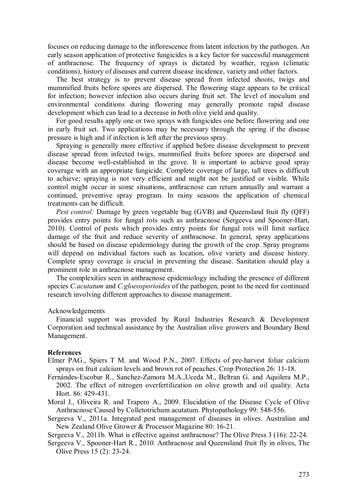focuses on reducing damage to the inflorescence from latent infection by the pathogen. An early season application of protective fungicides is a key factor for successful management of anthracnose. The frequency of sprays is dictated by weather, region (climatic conditions), history of diseases and current disease incidence, variety and other factors.

The best strategy is to prevent disease spread from infected shoots, twigs and mummified fruits before spores are dispersed. The flowering stage appears to be critical for infection; however infection also occurs during fruit set. The level of inoculum and environmental conditions during flowering may generally promote rapid disease development which can lead to a decrease in both olive yield and quality.

For good results apply one or two sprays with fungicides one before flowering and one in early fruit set. Two applications may be necessary through the spring if the disease pressure is high and if infection is left after the previous spray.

Spraying is generally more effective if applied before disease development to prevent disease spread from infected twigs, mummified fruits before spores are dispersed and disease become well-established in the grove. It is important to achieve good spray coverage with an appropriate fungicide. Complete coverage of large, tall trees is difficult to achieve; spraying is not very efficient and might not be justified or visible. While control might occur in some situations, anthracnose can return annually and warrant a continued, preventive spray program. In rainy seasons the application of chemical treatments can be difficult.

*Pest control:* Damage by green vegetable bug (GVB) and Queensland fruit fly (QFF) provides entry points for fungal rots such as anthracnose (Sergeeva and Spooner-Hart, 2010). Control of pests which provides entry points for fungal rots will limit surface damage of the fruit and reduce severity of anthracnose. In general, spray applications should be based on disease epidemiology during the growth of the crop. Spray programs will depend on individual factors such as location, olive variety and disease history. Complete spray coverage is crucial in preventing the disease. Sanitation should play a prominent role in anthracnose management.

The complexities seen in anthracnose epidemiology including the presence of different species *C.acutatum* and *C.gloeosporioides* of the pathogen, point to the need for continued research involving different approaches to disease management.

#### Acknowledgements

Financial support was provided by Rural Industries Research & Development Corporation and technical assistance by the Australian olive growers and Boundary Bend Management.

#### **References**

- Elmer PAG., Spiers T M. and Wood P.N., 2007. Effects of pre-harvest foliar calcium sprays on fruit calcium levels and brown rot of peaches. Crop Protection 26: 11-18.
- Fernándes-Escobar R., Sanchez-Zamora M.A.,Uceda M., Beltran G. and Aquilera M.P., 2002. The effect of nitrogen overfertilization on olive growth and oil quality. Acta Hort. 86: 429-431.
- Moral J., Oliveira R. and Trapero A., 2009. Elucidation of the Disease Cycle of Olive Anthracnose Caused by Colletotrichum acutatum. Phytopathology 99: 548-556.
- Sergeeva V., 2011a. Integrated pest management of diseases in olives. Australian and New Zealand Olive Grower & Processor Magazine 80: 16-21.

Sergeeva V., 2011b. What is effective against anthracnose? The Olive Press 3 (16): 22-24.

Sergeeva V., Spooner-Hart R., 2010. Anthracnose and Queensland fruit fly in olives, The Olive Press 15 (2): 23-24.